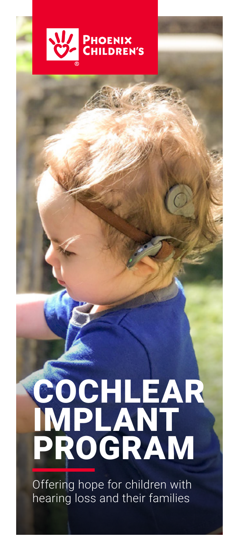

# COCHLEAR IMPLANT PROGRAM

Offering hope for children with hearing loss and their families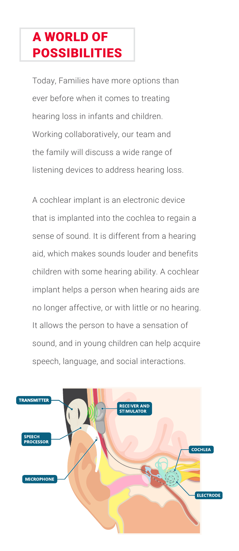## A WORLD OF POSSIBILITIES

Today, Families have more options than ever before when it comes to treating hearing loss in infants and children. Working collaboratively, our team and the family will discuss a wide range of listening devices to address hearing loss.

A cochlear implant is an electronic device that is implanted into the cochlea to regain a sense of sound. It is different from a hearing aid, which makes sounds louder and benefits children with some hearing ability. A cochlear implant helps a person when hearing aids are no longer affective, or with little or no hearing. It allows the person to have a sensation of sound, and in young children can help acquire speech, language, and social interactions.

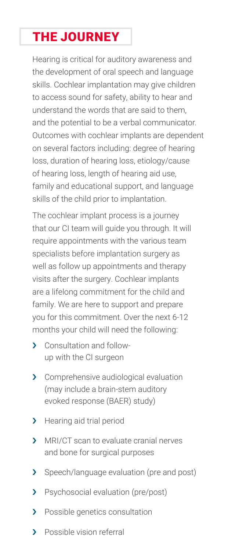## THE JOURNEY

Hearing is critical for auditory awareness and the development of oral speech and language skills. Cochlear implantation may give children to access sound for safety, ability to hear and understand the words that are said to them, and the potential to be a verbal communicator. Outcomes with cochlear implants are dependent on several factors including: degree of hearing loss, duration of hearing loss, etiology/cause of hearing loss, length of hearing aid use, family and educational support, and language skills of the child prior to implantation.

The cochlear implant process is a journey that our CI team will guide you through. It will require appointments with the various team specialists before implantation surgery as well as follow up appointments and therapy visits after the surgery. Cochlear implants are a lifelong commitment for the child and family. We are here to support and prepare you for this commitment. Over the next 6-12 months your child will need the following:

- > Consultation and followup with the CI surgeon
- › Comprehensive audiological evaluation (may include a brain-stem auditory evoked response (BAER) study)
- > Hearing aid trial period
- › MRI/CT scan to evaluate cranial nerves and bone for surgical purposes
- > Speech/language evaluation (pre and post)
- > Psychosocial evaluation (pre/post)
- > Possible genetics consultation
- > Possible vision referral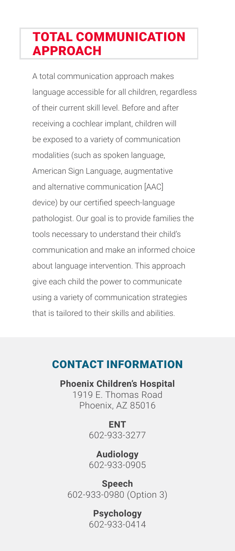## TOTAL COMMUNICATION APPROACH

A total communication approach makes language accessible for all children, regardless of their current skill level. Before and after receiving a cochlear implant, children will be exposed to a variety of communication modalities (such as spoken language, American Sign Language, augmentative and alternative communication [AAC] device) by our certified speech-language pathologist. Our goal is to provide families the tools necessary to understand their child's communication and make an informed choice about language intervention. This approach give each child the power to communicate using a variety of communication strategies that is tailored to their skills and abilities.

### CONTACT INFORMATION

**Phoenix Children's Hospital** 1919 E. Thomas Road Phoenix, AZ 85016

> **ENT** 602-933-3277

> **Audiology** 602-933-0905

**Speech** 602-933-0980 (Option 3)

> **Psychology** 602-933-0414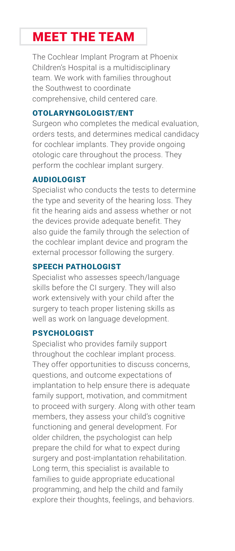## MEET THE TEAM

The Cochlear Implant Program at Phoenix Children's Hospital is a multidisciplinary team. We work with families throughout the Southwest to coordinate comprehensive, child centered care.

#### OTOLARYNGOLOGIST/ENT

Surgeon who completes the medical evaluation, orders tests, and determines medical candidacy for cochlear implants. They provide ongoing otologic care throughout the process. They perform the cochlear implant surgery.

#### AUDIOLOGIST

Specialist who conducts the tests to determine the type and severity of the hearing loss. They fit the hearing aids and assess whether or not the devices provide adequate benefit. They also guide the family through the selection of the cochlear implant device and program the external processor following the surgery.

#### SPEECH PATHOLOGIST

Specialist who assesses speech/language skills before the CI surgery. They will also work extensively with your child after the surgery to teach proper listening skills as well as work on language development.

#### PSYCHOLOGIST

Specialist who provides family support throughout the cochlear implant process. They offer opportunities to discuss concerns, questions, and outcome expectations of implantation to help ensure there is adequate family support, motivation, and commitment to proceed with surgery. Along with other team members, they assess your child's cognitive functioning and general development. For older children, the psychologist can help prepare the child for what to expect during surgery and post-implantation rehabilitation. Long term, this specialist is available to families to quide appropriate educational programming, and help the child and family explore their thoughts, feelings, and behaviors.